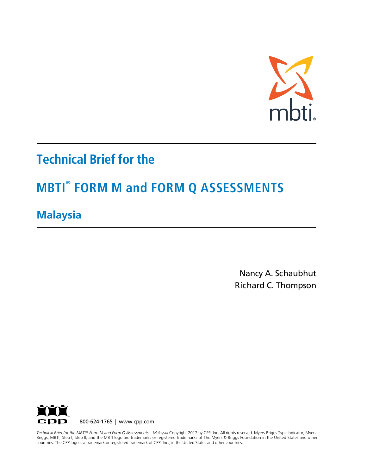

# **Technical Brief for the**

# **MBTI® FORM M and FORM Q ASSESSMENTS**

# **Malaysia**

Nancy A. Schaubhut Richard C. Thompson



 Briggs, MBTI, Step I, Step II, and the MBTI logo are trademarks or registered trademarks of The Myers & Briggs Foundation in the United States and other countries. The CPP logo is a trademark or registered trademark of CPP, Inc., in the United States and other countries. *Technical Brief for the MBTI® Form M and Form Q Assessments—Malaysia* Copyright 2017 by CPP, Inc. All rights reserved. Myers-Briggs Type Indicator, Myers-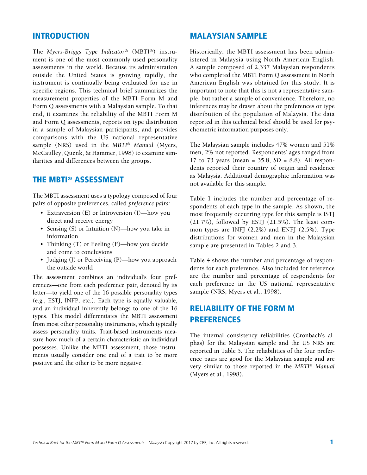## INTRODUCTION

The *Myers-Briggs Type Indicator®* (MBTI®) instrument is one of the most commonly used personality assessments in the world. Because its administration outside the United States is growing rapidly, the instrument is continually being evaluated for use in specific regions. This technical brief summarizes the measurement properties of the MBTI Form M and Form Q assessments with a Malaysian sample. To that end, it examines the reliability of the MBTI Form M and Form Q assessments, reports on type distribution in a sample of Malaysian participants, and provides comparisons with the US national representative sample (NRS) used in the *MBTI*® *Manual* (Myers, McCaulley, Quenk, & Hammer, 1998) to examine similarities and differences between the groups.

# THE MBTI® ASSESSMENT

The MBTI assessment uses a typology composed of four pairs of opposite preferences, called *preference pairs:*

- Extraversion (E) or Introversion (I)—how you direct and receive energy
- Sensing (S) or Intuition (N)—how you take in information
- Thinking (T) or Feeling (F)—how you decide and come to conclusions
- Judging (J) or Perceiving (P)—how you approach the outside world

The assessment combines an individual's four preferences—one from each preference pair, denoted by its letter—to yield one of the 16 possible personality types (e.g., ESTJ, INFP, etc.). Each type is equally valuable, and an individual inherently belongs to one of the 16 types. This model differentiates the MBTI assessment from most other personality instruments, which typically assess personality traits. Trait-based instruments measure how much of a certain characteristic an individual possesses. Unlike the MBTI assessment, those instruments usually consider one end of a trait to be more positive and the other to be more negative.

## MALAYSIAN SAMPLE

Historically, the MBTI assessment has been administered in Malaysia using North American English. A sample composed of 2,337 Malaysian respondents who completed the MBTI Form Q assessment in North American English was obtained for this study. It is important to note that this is not a representative sample, but rather a sample of convenience. Therefore, no inferences may be drawn about the preferences or type distribution of the population of Malaysia. The data reported in this technical brief should be used for psychometric information purposes only.

The Malaysian sample includes 47% women and 51% men, 2% not reported. Respondents' ages ranged from 17 to 73 years (mean = 35.8, *SD* = 8.8). All respondents reported their country of origin and residence as Malaysia. Additional demographic information was not available for this sample.

Table 1 includes the number and percentage of respondents of each type in the sample. As shown, the most frequently occurring type for this sample is ISTJ (21.7%), followed by ESTJ (21.5%). The least common types are INFJ (2.2%) and ENFJ (2.5%). Type distributions for women and men in the Malaysian sample are presented in Tables 2 and 3.

Table 4 shows the number and percentage of respondents for each preference. Also included for reference are the number and percentage of respondents for each preference in the US national representative sample (NRS; Myers et al., 1998).

# RELIABILITY OF THE FORM M PREFERENCES

The internal consistency reliabilities (Cronbach's alphas) for the Malaysian sample and the US NRS are reported in Table 5. The reliabilities of the four preference pairs are good for the Malaysian sample and are very similar to those reported in the *MBTI*® *Manual*  (Myers et al., 1998).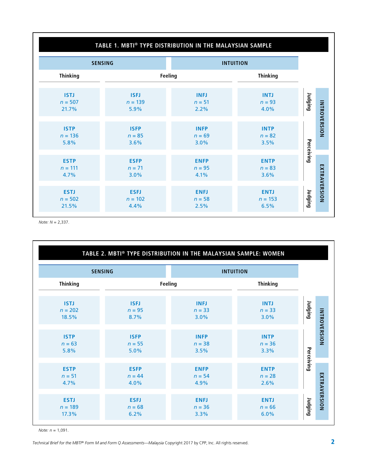| TABLE 1. MBTI® TYPE DISTRIBUTION IN THE MALAYSIAN SAMPLE |                                  |                                 |                                  |            |                     |  |  |
|----------------------------------------------------------|----------------------------------|---------------------------------|----------------------------------|------------|---------------------|--|--|
|                                                          | <b>SENSING</b>                   |                                 | <b>INTUITION</b>                 |            |                     |  |  |
| <b>Thinking</b>                                          | Feeling                          |                                 | <b>Thinking</b>                  |            |                     |  |  |
| <b>ISTJ</b><br>$n = 507$<br>21.7%                        | <b>ISFJ</b><br>$n = 139$<br>5.9% | <b>INFJ</b><br>$n = 51$<br>2.2% | <b>INTJ</b><br>$n = 93$<br>4.0%  | Judging    |                     |  |  |
| <b>ISTP</b><br>$n = 136$<br>5.8%                         | <b>ISFP</b><br>$n = 85$<br>3.6%  | <b>INFP</b><br>$n = 69$<br>3.0% | <b>INTP</b><br>$n = 82$<br>3.5%  |            | <b>INTROVERSION</b> |  |  |
| <b>ESTP</b><br>$n = 111$<br>4.7%                         | <b>ESFP</b><br>$n = 71$<br>3.0%  | <b>ENFP</b><br>$n = 95$<br>4.1% | <b>ENTP</b><br>$n = 83$<br>3.6%  | Perceiving |                     |  |  |
| <b>ESTJ</b><br>$n = 502$<br>21.5%                        | <b>ESFJ</b><br>$n = 102$<br>4.4% | <b>ENFJ</b><br>$n = 58$<br>2.5% | <b>ENTJ</b><br>$n = 153$<br>6.5% | Judging    | EXTRAVERSION        |  |  |

*Note: N* = 2,337.

|                                    |                                 | TABLE 2. MBTI® TYPE DISTRIBUTION IN THE MALAYSIAN SAMPLE: WOMEN |                                 |                                |  |  |
|------------------------------------|---------------------------------|-----------------------------------------------------------------|---------------------------------|--------------------------------|--|--|
| <b>INTUITION</b><br><b>SENSING</b> |                                 |                                                                 |                                 |                                |  |  |
| <b>Thinking</b>                    |                                 | Feeling                                                         | <b>Thinking</b>                 |                                |  |  |
| <b>ISTJ</b><br>$n = 202$<br>18.5%  | <b>ISFJ</b><br>$n = 95$<br>8.7% | <b>INFJ</b><br>$n = 33$<br>3.0%                                 | <b>INTJ</b><br>$n = 33$<br>3.0% | Judging                        |  |  |
| <b>ISTP</b><br>$n = 63$<br>5.8%    | <b>ISFP</b><br>$n = 55$<br>5.0% | <b>INFP</b><br>$n = 38$<br>3.5%                                 | <b>INTP</b><br>$n = 36$<br>3.3% | <b>INTROVERSION</b>            |  |  |
| <b>ESTP</b><br>$n = 51$<br>4.7%    | <b>ESFP</b><br>$n = 44$<br>4.0% | <b>ENFP</b><br>$n = 54$<br>4.9%                                 | <b>ENTP</b><br>$n = 28$<br>2.6% | Perceiving                     |  |  |
| <b>ESTJ</b><br>$n = 189$<br>17.3%  | <b>ESFJ</b><br>$n = 68$<br>6.2% | <b>ENFJ</b><br>$n = 36$<br>3.3%                                 | <b>ENTJ</b><br>$n = 66$<br>6.0% | <b>EXTRAVERSION</b><br>Judging |  |  |

*Note: n* = 1,091.

*Technical Brief for the MBTI® Form M and Form Q Assessments—Malaysia Copyright 2017 by CPP, Inc. All rights reserved. 2 2*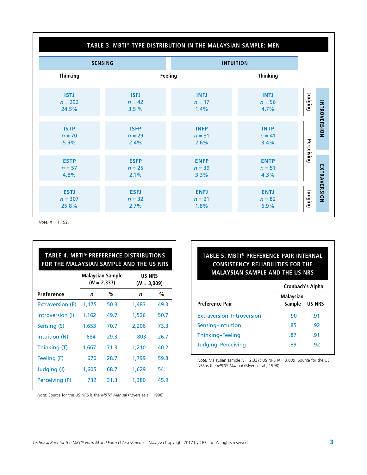### **TABLE 3. MBTI® TYPE DISTRIBUTION IN THE MALAYSIAN SAMPLE: MEN**

|                                   | <b>SENSING</b>                  |                                 | <b>INTUITION</b>                |                |              |
|-----------------------------------|---------------------------------|---------------------------------|---------------------------------|----------------|--------------|
| <b>Thinking</b>                   | <b>Feeling</b>                  |                                 | <b>Thinking</b>                 |                |              |
| <b>ISTJ</b><br>$n = 292$<br>24.5% | <b>ISFJ</b><br>$n = 42$<br>3.5% | <b>INFJ</b><br>$n = 17$<br>1.4% | <b>INTJ</b><br>$n = 56$<br>4.7% | Judging        |              |
| <b>ISTP</b><br>$n = 70$<br>5.9%   | <b>ISFP</b><br>$n = 29$<br>2.4% | <b>INFP</b><br>$n = 31$<br>2.6% | <b>INTP</b><br>$n = 41$<br>3.4% |                | INTROVERSION |
| <b>ESTP</b><br>$n = 57$<br>4.8%   | <b>ESFP</b><br>$n = 25$<br>2.1% | <b>ENFP</b><br>$n = 39$<br>3.3% | <b>ENTP</b><br>$n = 51$<br>4.3% | Perceiving     |              |
| <b>ESTJ</b><br>$n = 307$<br>25.8% | <b>ESFJ</b><br>$n = 32$<br>2.7% | <b>ENFJ</b><br>$n = 21$<br>1.8% | <b>ENTJ</b><br>$n = 82$<br>6.9% | <b>Judging</b> | EXTRAVERSION |

*Note: n* = 1,192.

| <b>TABLE 4. MBTI® PREFERENCE DISTRIBUTIONS</b><br>FOR THE MALAYSIAN SAMPLE AND THE US NRS |             |                                   |                                |      |  |  |  |
|-------------------------------------------------------------------------------------------|-------------|-----------------------------------|--------------------------------|------|--|--|--|
|                                                                                           |             | Malaysian Sample<br>$(N = 2,337)$ | <b>US NRS</b><br>$(N = 3,009)$ |      |  |  |  |
| Preference                                                                                | $\mathbf n$ | ℅                                 | n                              | %    |  |  |  |
| Extraversion (E)                                                                          | 1,175       | 50.3                              | 1,483                          | 49.3 |  |  |  |
| Introversion (I)                                                                          | 1,162       | 49.7                              | 1,526                          | 50.7 |  |  |  |
| Sensing (S)                                                                               | 1,653       | 70.7                              | 2,206                          | 73.3 |  |  |  |
| Intuition (N)                                                                             | 684         | 29.3                              | 803                            | 26.7 |  |  |  |
| Thinking (T)                                                                              | 1,667       | 71.3                              | 1,210                          | 40.2 |  |  |  |
| Feeling (F)                                                                               | 670         | 28.7                              | 1,799                          | 59.8 |  |  |  |
| Judging (J)                                                                               | 1,605       | 68.7                              | 1,629                          | 54.1 |  |  |  |
| Perceiving (P)                                                                            | 732         | 31.3                              | 1,380                          | 45.9 |  |  |  |

#### *Note:* Source for the US NRS is the *MBTI® Manual* (Myers et al., 1998).

# **TABLE 5. MBTI® PREFERENCE PAIR INTERNAL CONSISTENCY RELIABILITIES FOR THE MALAYSIAN SAMPLE AND THE US NRS**

|                                  | Cronbach's Alpha           |               |  |  |
|----------------------------------|----------------------------|---------------|--|--|
| <b>Preference Pair</b>           | <b>Malaysian</b><br>Sample | <b>US NRS</b> |  |  |
| <b>Extraversion-Introversion</b> | .90                        | .91           |  |  |
| Sensing-Intuition                | .85                        | -92           |  |  |
| Thinking-Feeling                 | .87                        | .91           |  |  |
| Judging-Perceiving               | .89                        | .92           |  |  |

*Note:* Malaysian sample *N* = 2,337; US NRS *N* = 3,009. Source for the US NRS is the *MBTI® Manual* (Myers et al., 1998).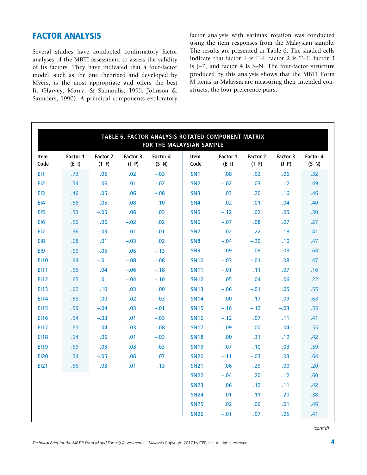# FACTOR ANALYSIS

Several studies have conducted confirmatory factor analyses of the MBTI assessment to assess the validity of its factors. They have indicated that a four-factor model, such as the one theorized and developed by Myers, is the most appropriate and offers the best fit (Harvey, Murry, & Stamoulis, 1995; Johnson & Saunders, 1990). A principal components exploratory

factor analysis with varimax rotation was conducted using the item responses from the Malaysian sample. The results are presented in Table 6. The shaded cells indicate that factor 1 is E–I, factor 2 is T–F, factor 3 is J–P, and factor 4 is S–N. The four-factor structure produced by this analysis shows that the MBTI Form M items in Malaysia are measuring their intended constructs, the four preference pairs.

| TABLE 6. FACTOR ANALYSIS ROTATED COMPONENT MATRIX<br>FOR THE MALAYSIAN SAMPLE |                     |                     |                     |                     |                     |                     |                     |                     |                     |
|-------------------------------------------------------------------------------|---------------------|---------------------|---------------------|---------------------|---------------------|---------------------|---------------------|---------------------|---------------------|
| <b>Item</b><br>Code                                                           | Factor 1<br>$(E-I)$ | Factor 2<br>$(T-F)$ | Factor 3<br>$(J-P)$ | Factor 4<br>$(S-N)$ | <b>Item</b><br>Code | Factor 1<br>$(E-I)$ | Factor 2<br>$(T-F)$ | Factor 3<br>$(J-P)$ | Factor 4<br>$(S-N)$ |
| E <sub>11</sub>                                                               | .73                 | .06                 | .02                 | $-.03$              | SN <sub>1</sub>     | .08                 | .02                 | .06                 | .32 <sub>0</sub>    |
| E12                                                                           | .54                 | .06                 | .01                 | $-.02$              | SN <sub>2</sub>     | $-.02$              | .03                 | .12                 | .49                 |
| EI3                                                                           | .46                 | .05                 | .06                 | $-.08$              | SN <sub>3</sub>     | .03                 | .20                 | .16                 | .46                 |
| E <sub>14</sub>                                                               | .56                 | $-.05$              | .08                 | .10                 | SN <sub>4</sub>     | .02                 | .01                 | .04                 | .40                 |
| E <sub>15</sub>                                                               | .53                 | $-.05$              | .06                 | .03                 | SN <sub>5</sub>     | $-.12$              | .02                 | .05                 | .30 <sub>1</sub>    |
| <b>EI6</b>                                                                    | .56                 | .06                 | $-.02$              | .02                 | SN <sub>6</sub>     | $-.07$              | .08                 | .07                 | .27                 |
| EI7                                                                           | .36                 | $-.03$              | $-.01$              | $-.01$              | SN <sub>7</sub>     | .02                 | .22                 | .18                 | .41                 |
| EI8                                                                           | .68                 | .01                 | $-.03$              | .02                 | SN <sub>8</sub>     | $-.04$              | $-.20$              | .10                 | .47                 |
| EI9                                                                           | .60                 | $-.05$              | .05                 | $-.13$              | SN <sub>9</sub>     | $-.09$              | .08                 | .08                 | .64                 |
| <b>EI10</b>                                                                   | .64                 | $-.01$              | $-.08$              | $-.08$              | <b>SN10</b>         | $-.03$              | $-.01$              | .08                 | .47                 |
| <b>EI11</b>                                                                   | .66                 | .04                 | $-.06$              | $-.18$              | <b>SN11</b>         | $-.01$              | .11                 | .07                 | .16                 |
| <b>EI12</b>                                                                   | .65                 | .01                 | $-.04$              | $-.10$              | <b>SN12</b>         | .05                 | .04                 | .06                 | .22                 |
| <b>EI13</b>                                                                   | .62                 | .10                 | .03                 | .00                 | <b>SN13</b>         | $-.06$              | $-.01$              | .05                 | .55                 |
| <b>EI14</b>                                                                   | .58                 | .00.                | .02                 | $-.03$              | <b>SN14</b>         | .00.                | .17                 | .09                 | .63                 |
| <b>EI15</b>                                                                   | .59                 | $-.04$              | .03                 | $-.01$              | <b>SN15</b>         | $-.16$              | $-.12$              | $-.03$              | .55                 |
| <b>EI16</b>                                                                   | .54                 | $-.03$              | .01                 | $-.03$              | <b>SN16</b>         | $-.12$              | .07                 | .11                 | .41                 |
| <b>EI17</b>                                                                   | .51                 | .04                 | $-.03$              | $-.08$              | <b>SN17</b>         | $-.09$              | .00                 | .04                 | .55                 |
| <b>EI18</b>                                                                   | .64                 | .06                 | .01                 | $-.03$              | <b>SN18</b>         | .00                 | .31                 | .19                 | .42                 |
| <b>EI19</b>                                                                   | .69                 | .03                 | .03                 | $-.03$              | <b>SN19</b>         | $-.07$              | $-.10$              | .03                 | .59                 |
| <b>EI20</b>                                                                   | .54                 | $-.05$              | .06                 | .07                 | <b>SN20</b>         | $-.11$              | $-.03$              | .03                 | .64                 |
| EI21                                                                          | .56                 | .03                 | $-.01$              | $-.13$              | <b>SN21</b>         | $-.06$              | $-.29$              | .00                 | .20                 |
|                                                                               |                     |                     |                     |                     | <b>SN22</b>         | $-.04$              | .20                 | .12                 | .60                 |
|                                                                               |                     |                     |                     |                     | <b>SN23</b>         | .06                 | .12                 | .11                 | .42                 |
|                                                                               |                     |                     |                     |                     | <b>SN24</b>         | .01                 | .11                 | .20                 | .38                 |
|                                                                               |                     |                     |                     |                     | <b>SN25</b>         | .02                 | .06                 | .01                 | .46                 |
|                                                                               |                     |                     |                     |                     | <b>SN26</b>         | $-.01$              | .07                 | .05                 | .41                 |

*(cont'd)*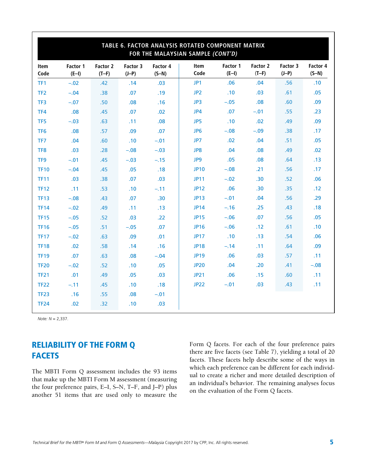| TABLE 6. FACTOR ANALYSIS ROTATED COMPONENT MATRIX<br>FOR THE MALAYSIAN SAMPLE (CONT'D) |                     |                     |                     |                     |                     |                     |                     |                     |                     |
|----------------------------------------------------------------------------------------|---------------------|---------------------|---------------------|---------------------|---------------------|---------------------|---------------------|---------------------|---------------------|
| <b>Item</b><br>Code                                                                    | Factor 1<br>$(E-I)$ | Factor 2<br>$(T-F)$ | Factor 3<br>$(J-P)$ | Factor 4<br>$(S-N)$ | <b>Item</b><br>Code | Factor 1<br>$(E-I)$ | Factor 2<br>$(T-F)$ | Factor 3<br>$(J-P)$ | Factor 4<br>$(S-N)$ |
| TF1                                                                                    | $-.02$              | .42                 | .14                 | .03                 | JP1                 | .06                 | .04                 | .56                 | .10                 |
| TF <sub>2</sub>                                                                        | $-.04$              | .38                 | .07                 | .19                 | JP <sub>2</sub>     | .10                 | .03                 | .61                 | .05                 |
| TF3                                                                                    | $-.07$              | .50                 | .08                 | .16                 | JP3                 | $-.05$              | .08                 | .60                 | .09                 |
| TF4                                                                                    | .08                 | .45                 | .07                 | .02                 | JP4                 | .07                 | $-.01$              | .55                 | .23                 |
| TF <sub>5</sub>                                                                        | $-.03$              | .63                 | .11                 | .08                 | JP5                 | .10                 | .02                 | .49                 | .09                 |
| TF <sub>6</sub>                                                                        | .08                 | .57                 | .09                 | .07                 | JP <sub>6</sub>     | $-.08$              | $-.09$              | .38                 | .17                 |
| TF7                                                                                    | .04                 | .60                 | .10                 | $-.01$              | JP7                 | .02                 | .04                 | .51                 | .05                 |
| TF <sub>8</sub>                                                                        | .03                 | .28                 | $-.08$              | $-.03$              | JP8                 | .04                 | .08                 | .49                 | .02                 |
| TF9                                                                                    | $-.01$              | .45                 | $-.03$              | $-.15$              | JP9                 | .05                 | .08                 | .64                 | .13                 |
| <b>TF10</b>                                                                            | $-.04$              | .45                 | .05                 | .18                 | <b>JP10</b>         | $-.08$              | .21                 | .56                 | .17                 |
| <b>TF11</b>                                                                            | .03                 | .38                 | .07                 | .03                 | <b>JP11</b>         | $-.02$              | .30                 | .52                 | .06                 |
| <b>TF12</b>                                                                            | .11                 | .53                 | .10                 | $-.11$              | <b>JP12</b>         | .06                 | .30                 | .35                 | .12                 |
| <b>TF13</b>                                                                            | $-.08$              | .43                 | .07                 | .30                 | <b>JP13</b>         | $-.01$              | .04                 | .56                 | .29                 |
| <b>TF14</b>                                                                            | $-.02$              | .49                 | .11                 | .13                 | <b>JP14</b>         | $-.16$              | .25                 | .43                 | .18                 |
| <b>TF15</b>                                                                            | $-.05$              | .52                 | .03                 | .22                 | <b>JP15</b>         | $-.06$              | .07                 | .56                 | .05                 |
| <b>TF16</b>                                                                            | $-.05$              | .51                 | $-.05$              | .07                 | <b>JP16</b>         | $-.06$              | .12                 | .61                 | .10                 |
| <b>TF17</b>                                                                            | $-.02$              | .63                 | .09                 | .01                 | <b>JP17</b>         | .10                 | .13                 | .54                 | .06                 |
| <b>TF18</b>                                                                            | .02                 | .58                 | .14                 | .16                 | <b>JP18</b>         | $-.14$              | .11                 | .64                 | .09                 |
| <b>TF19</b>                                                                            | .07                 | .63                 | .08                 | $-.04$              | <b>JP19</b>         | .06                 | .03                 | .57                 | .11                 |
| <b>TF20</b>                                                                            | $-.02$              | .52                 | .10                 | .05                 | <b>JP20</b>         | .04                 | .20                 | .41                 | $-.08$              |
| <b>TF21</b>                                                                            | .01                 | .49                 | .05                 | .03                 | <b>JP21</b>         | .06                 | .15                 | .60                 | .11                 |
| <b>TF22</b>                                                                            | $-.11$              | .45                 | .10                 | .18                 | <b>JP22</b>         | $-.01$              | .03                 | .43                 | .11                 |
| <b>TF23</b>                                                                            | .16                 | .55                 | .08                 | $-.01$              |                     |                     |                     |                     |                     |
| <b>TF24</b>                                                                            | .02                 | .32                 | .10                 | .03                 |                     |                     |                     |                     |                     |

*Note: N* = 2,337.

# RELIABILITY OF THE FORM Q FACETS

The MBTI Form Q assessment includes the 93 items that make up the MBTI Form M assessment (measuring the four preference pairs, E–I, S–N, T–F, and J–P) plus another 51 items that are used only to measure the Form Q facets. For each of the four preference pairs there are five facets (see Table 7), yielding a total of 20 facets. These facets help describe some of the ways in which each preference can be different for each individual to create a richer and more detailed description of an individual's behavior. The remaining analyses focus on the evaluation of the Form Q facets.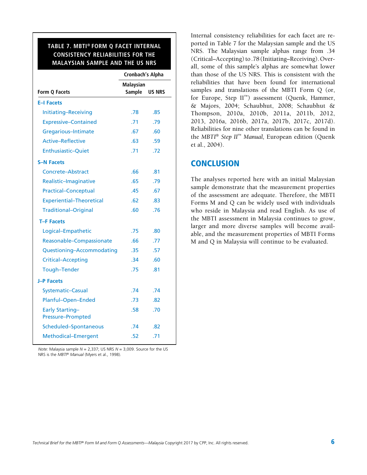# **TABLE 7. MBTI® FORM Q FACET INTERNAL CONSISTENCY RELIABILITIES FOR THE MALAYSIAN SAMPLE AND THE US NRS**

|                                             | Cronbach's Alpha                  |               |  |
|---------------------------------------------|-----------------------------------|---------------|--|
| Form Q Facets                               | <b>Malaysian</b><br><b>Sample</b> | <b>US NRS</b> |  |
| <b>E-I Facets</b>                           |                                   |               |  |
| Initiating-Receiving                        | .78                               | .85           |  |
| <b>Expressive-Contained</b>                 | .71                               | .79           |  |
| Gregarious-Intimate                         | .67                               | .60           |  |
| <b>Active-Reflective</b>                    | .63                               | .59           |  |
| <b>Enthusiastic-Quiet</b>                   | .71                               | .72           |  |
| <b>S-N Facets</b>                           |                                   |               |  |
| Concrete-Abstract                           | .66                               | .81           |  |
| Realistic-Imaginative                       | .65                               | .79           |  |
| <b>Practical-Conceptual</b>                 | .45                               | .67           |  |
| <b>Experiential-Theoretical</b>             | .62                               | .83           |  |
| <b>Traditional-Original</b>                 | .60                               | .76           |  |
| <b>T-F Facets</b>                           |                                   |               |  |
| Logical-Empathetic                          | .75                               | .80           |  |
| Reasonable-Compassionate                    | .66                               | .77           |  |
| Questioning-Accommodating                   | .35                               | .57           |  |
| <b>Critical-Accepting</b>                   | .34                               | .60           |  |
| <b>Tough-Tender</b>                         | .75                               | .81           |  |
| <b>J-P Facets</b>                           |                                   |               |  |
| <b>Systematic-Casual</b>                    | .74                               | .74           |  |
| Planful-Open-Ended                          | .73                               | .82           |  |
| <b>Early Starting-</b><br>Pressure-Prompted | .58                               | .70           |  |
| Scheduled-Spontaneous                       | .74                               | .82           |  |
| Methodical-Emergent                         | .52                               | .71           |  |

*Note:* Malaysia sample *N* = 2,337; US NRS *N* = 3,009. Source for the US NRS is the *MBTI® Manual* (Myers et al., 1998).

Internal consistency reliabilities for each facet are reported in Table 7 for the Malaysian sample and the US NRS. The Malaysian sample alphas range from .34 (Critical–Accepting) to .78 (Initiating–Receiving). Overall, some of this sample's alphas are somewhat lower than those of the US NRS. This is consistent with the reliabilities that have been found for international samples and translations of the MBTI Form Q (or, for Europe, Step II™) assessment (Quenk, Hammer, & Majors, 2004; Schaubhut, 2008; Schaubhut & Thompson, 2010a, 2010b, 2011a, 2011b, 2012, 2013, 2016a, 2016b, 2017a, 2017b, 2017c, 2017d). Reliabilities for nine other translations can be found in the *MBTI*® *Step II*™ *Manual,* European edition (Quenk et al., 2004).

# **CONCLUSION**

The analyses reported here with an initial Malaysian sample demonstrate that the measurement properties of the assessment are adequate. Therefore, the MBTI Forms M and Q can be widely used with individuals who reside in Malaysia and read English. As use of the MBTI assessment in Malaysia continues to grow, larger and more diverse samples will become available, and the measurement properties of MBTI Forms M and Q in Malaysia will continue to be evaluated.